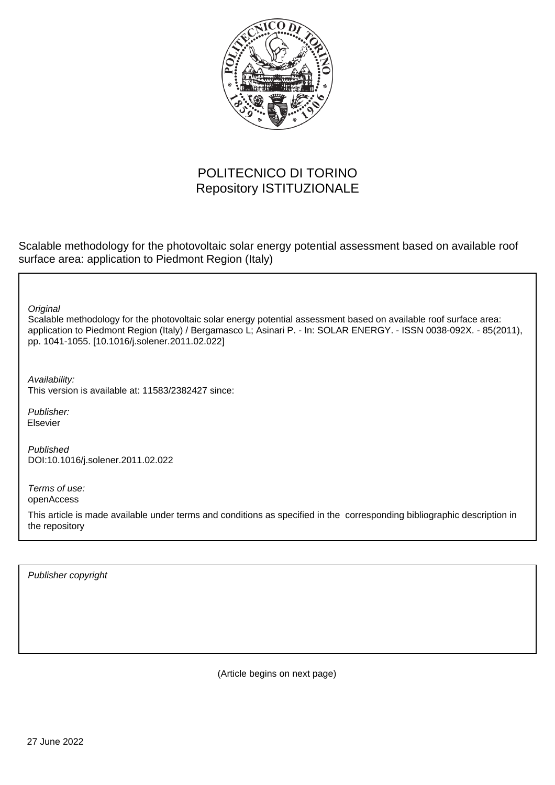

# POLITECNICO DI TORINO Repository ISTITUZIONALE

Scalable methodology for the photovoltaic solar energy potential assessment based on available roof surface area: application to Piedmont Region (Italy)

**Original** 

Scalable methodology for the photovoltaic solar energy potential assessment based on available roof surface area: application to Piedmont Region (Italy) / Bergamasco L; Asinari P. - In: SOLAR ENERGY. - ISSN 0038-092X. - 85(2011), pp. 1041-1055. [10.1016/j.solener.2011.02.022]

Availability: This version is available at: 11583/2382427 since:

Publisher: Elsevier

Published DOI:10.1016/j.solener.2011.02.022

Terms of use: openAccess

This article is made available under terms and conditions as specified in the corresponding bibliographic description in the repository

Publisher copyright

(Article begins on next page)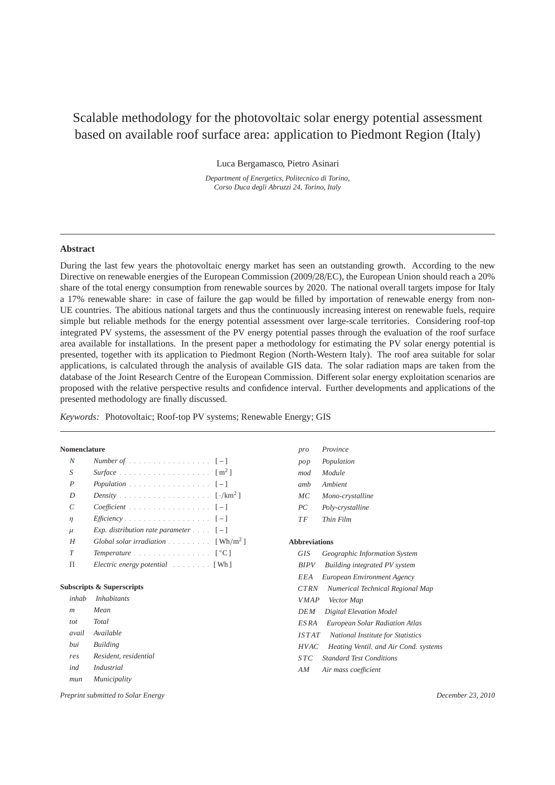# Scalable methodology for the photovoltaic solar energy potential assessment based on available roof surface area: application to Piedmont Region (Italy)

Luca Bergamasco, Pietro Asinari

*Department of Energetics, Politecnico di Torino, Corso Duca degli Abruzzi 24, Torino, Italy*

## **Abstract**

During the last few years the photovoltaic energy market has seen an outstanding growth. According to the new Directive on renewable energies of the European Commission (2009/28/EC), the European Union should reach a 20% share of the total energy consumption from renewable sources by 2020. The national overall targets impose for Italy a 17% renewable share: in case of failure the gap would be filled by importation of renewable energy from non-UE countries. The abitious national targets and thus the continuously increasing interest on renewable fuels, require simple but reliable methods for the energy potential assessment over large-scale territories. Considering roof-top integrated PV systems, the assessment of the PV energy potential passes through the evaluation of the roof surface area available for installations. In the present paper a methodology for estimating the PV solar energy potential is presented, together with its application to Piedmont Region (North-Western Italy). The roof area suitable for solar applications, is calculated through the analysis of available GIS data. The solar radiation maps are taken from the database of the Joint Research Centre of the European Commission. Different solar energy exploitation scenarios are proposed with the relative perspective results and confidence interval. Further developments and applications of the presented methodology are finally discussed.

*Keywords:* Photovoltaic; Roof-top PV systems; Renewable Energy; GIS

#### **Nomenclature**

| N             | <i>Number of</i> [-]                                                 |
|---------------|----------------------------------------------------------------------|
| S             |                                                                      |
| P             | Population $[-]$                                                     |
| D             |                                                                      |
| $\mathcal{C}$ | <i>Coefficient</i> $[-]$                                             |
| $\eta$        | <i>Efficiency</i> [-]                                                |
| $\mu$         | Exp. distribution rate parameter $\ldots$ [-]                        |
| H             | Global solar irradiation $\ldots \ldots \ldots$ [Wh/m <sup>2</sup> ] |
| $\tau$        | <i>Temperature</i> $\lceil \, \degree \mathbb{C} \, \rceil$          |
|               | Electric energy potential [Wh]                                       |

#### **Subscripts & Superscripts**

|       | inhab Inhabitants     |
|-------|-----------------------|
| m     | Mean                  |
| tot   | Total                 |
| avail | Available             |
| hui   | <b>Building</b>       |
| res   | Resident, residential |
| ind   | Industrial            |
| mun   | Municipality          |

*mod Module amb Ambient MC Mono-crystalline PC Poly-crystalline T F Thin Film* **Abbreviations** *GIS Geographic Information System BIPV Building integrated PV system EEA European Environment Agency CTRN Numerical Technical Regional Map V MAP Vector Map DEM Digital Elevation Model*

*pro Province pop Population*

- *ES RA European Solar Radiation Atlas*
- *IS T AT National Institute for Statistics*
- *HVAC Heating Ventil. and Air Cond. systems*
- *S TC Standard Test Conditions*
- *AM Air mass coe*ffi*cient*

*Preprint submitted to Solar Energy December 23, 2010*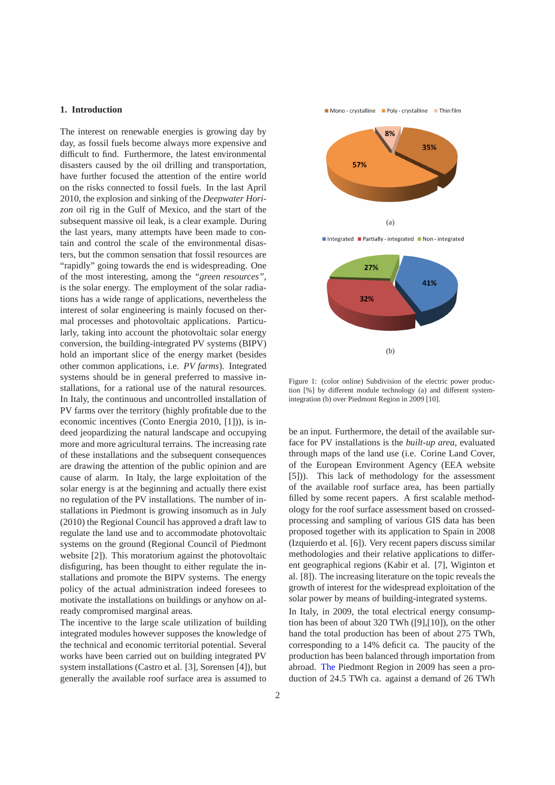## **1. Introduction**

The interest on renewable energies is growing day by day, as fossil fuels become always more expensive and difficult to find. Furthermore, the latest environmental disasters caused by the oil drilling and transportation, have further focused the attention of the entire world on the risks connected to fossil fuels. In the last April 2010, the explosion and sinking of the *Deepwater Horizon* oil rig in the Gulf of Mexico, and the start of the subsequent massive oil leak, is a clear example. During the last years, many attempts have been made to contain and control the scale of the environmental disasters, but the common sensation that fossil resources are "rapidly" going towards the end is widespreading. One of the most interesting, among the *"green resources"*, is the solar energy. The employment of the solar radiations has a wide range of applications, nevertheless the interest of solar engineering is mainly focused on thermal processes and photovoltaic applications. Particularly, taking into account the photovoltaic solar energy conversion, the building-integrated PV systems (BIPV) hold an important slice of the energy market (besides other common applications, i.e. *PV farms*). Integrated systems should be in general preferred to massive installations, for a rational use of the natural resources. In Italy, the continuous and uncontrolled installation of PV farms over the territory (highly profitable due to the economic incentives (Conto Energia 2010, [1])), is indeed jeopardizing the natural landscape and occupying more and more agricultural terrains. The increasing rate of these installations and the subsequent consequences are drawing the attention of the public opinion and are cause of alarm. In Italy, the large exploitation of the solar energy is at the beginning and actually there exist no regulation of the PV installations. The number of installations in Piedmont is growing insomuch as in July (2010) the Regional Council has approved a draft law to regulate the land use and to accommodate photovoltaic systems on the ground (Regional Council of Piedmont website [2]). This moratorium against the photovoltaic disfiguring, has been thought to either regulate the installations and promote the BIPV systems. The energy policy of the actual administration indeed foresees to motivate the installations on buildings or anyhow on already compromised marginal areas.

The incentive to the large scale utilization of building integrated modules however supposes the knowledge of the technical and economic territorial potential. Several works have been carried out on building integrated PV system installations (Castro et al. [3], Sorensen [4]), but generally the available roof surface area is assumed to Mono-crystalline Poly-crystalline Thinfilm



Integrated Partially-integrated Non-integrated



Figure 1: (color online) Subdivision of the electric power production [%] by different module technology (a) and different systemintegration (b) over Piedmont Region in 2009 [10].

be an input. Furthermore, the detail of the available surface for PV installations is the *built-up area*, evaluated through maps of the land use (i.e. Corine Land Cover, of the European Environment Agency (EEA website [5])). This lack of methodology for the assessment of the available roof surface area, has been partially filled by some recent papers. A first scalable methodology for the roof surface assessment based on crossedprocessing and sampling of various GIS data has been proposed together with its application to Spain in 2008 (Izquierdo et al. [6]). Very recent papers discuss similar methodologies and their relative applications to different geographical regions (Kabir et al. [7], Wiginton et al. [8]). The increasing literature on the topic reveals the growth of interest for the widespread exploitation of the solar power by means of building-integrated systems.

In Italy, in 2009, the total electrical energy consumption has been of about 320 TWh ([9],[10]), on the other hand the total production has been of about 275 TWh, corresponding to a 14% deficit ca. The paucity of the production has been balanced through importation from abroad. The Piedmont Region in 2009 has seen a production of 24.5 TWh ca. against a demand of 26 TWh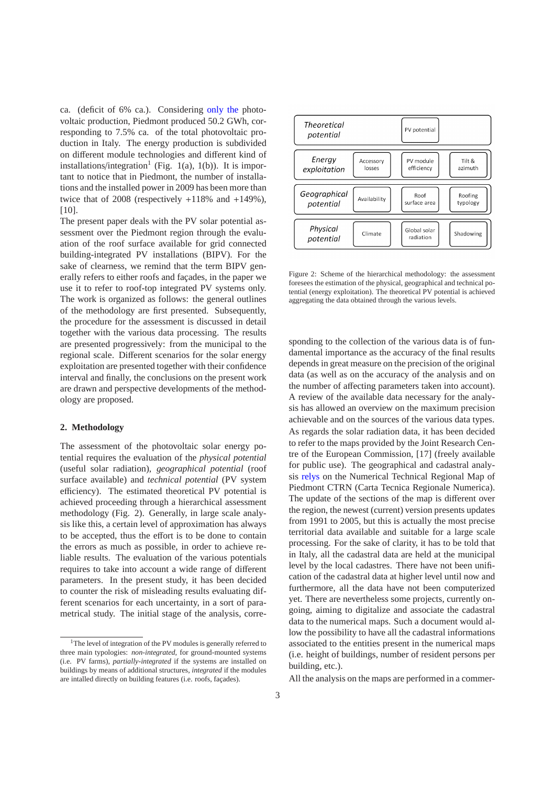ca. (deficit of 6% ca.). Considering only the photovoltaic production, Piedmont produced 50.2 GWh, corresponding to 7.5% ca. of the total photovoltaic production in Italy. The energy production is subdivided on different module technologies and different kind of installations/integration<sup>1</sup> (Fig. 1(a), 1(b)). It is important to notice that in Piedmont, the number of installations and the installed power in 2009 has been more than twice that of  $2008$  (respectively  $+118\%$  and  $+149\%$ ), [10].

The present paper deals with the PV solar potential assessment over the Piedmont region through the evaluation of the roof surface available for grid connected building-integrated PV installations (BIPV). For the sake of clearness, we remind that the term BIPV generally refers to either roofs and facades, in the paper we use it to refer to roof-top integrated PV systems only. The work is organized as follows: the general outlines of the methodology are first presented. Subsequently, the procedure for the assessment is discussed in detail together with the various data processing. The results are presented progressively: from the municipal to the regional scale. Different scenarios for the solar energy exploitation are presented together with their confidence interval and finally, the conclusions on the present work are drawn and perspective developments of the methodology are proposed.

## **2. Methodology**

The assessment of the photovoltaic solar energy potential requires the evaluation of the *physical potential* (useful solar radiation), *geographical potential* (roof surface available) and *technical potential* (PV system efficiency). The estimated theoretical PV potential is achieved proceeding through a hierarchical assessment methodology (Fig. 2). Generally, in large scale analysis like this, a certain level of approximation has always to be accepted, thus the effort is to be done to contain the errors as much as possible, in order to achieve reliable results. The evaluation of the various potentials requires to take into account a wide range of different parameters. In the present study, it has been decided to counter the risk of misleading results evaluating different scenarios for each uncertainty, in a sort of parametrical study. The initial stage of the analysis, corre-



Figure 2: Scheme of the hierarchical methodology: the assessment foresees the estimation of the physical, geographical and technical potential (energy exploitation). The theoretical PV potential is achieved aggregating the data obtained through the various levels.

sponding to the collection of the various data is of fundamental importance as the accuracy of the final results depends in great measure on the precision of the original data (as well as on the accuracy of the analysis and on the number of affecting parameters taken into account). A review of the available data necessary for the analysis has allowed an overview on the maximum precision achievable and on the sources of the various data types. As regards the solar radiation data, it has been decided to refer to the maps provided by the Joint Research Centre of the European Commission, [17] (freely available for public use). The geographical and cadastral analysis relys on the Numerical Technical Regional Map of Piedmont CTRN (Carta Tecnica Regionale Numerica). The update of the sections of the map is different over the region, the newest (current) version presents updates from 1991 to 2005, but this is actually the most precise territorial data available and suitable for a large scale processing. For the sake of clarity, it has to be told that in Italy, all the cadastral data are held at the municipal level by the local cadastres. There have not been unification of the cadastral data at higher level until now and furthermore, all the data have not been computerized yet. There are nevertheless some projects, currently ongoing, aiming to digitalize and associate the cadastral data to the numerical maps. Such a document would allow the possibility to have all the cadastral informations associated to the entities present in the numerical maps (i.e. height of buildings, number of resident persons per building, etc.).

All the analysis on the maps are performed in a commer-

<sup>&</sup>lt;sup>1</sup>The level of integration of the PV modules is generally referred to three main typologies: *non-integrated*, for ground-mounted systems (i.e. PV farms), *partially-integrated* if the systems are installed on buildings by means of additional structures, *integrated* if the modules are intalled directly on building features (i.e. roofs, façades).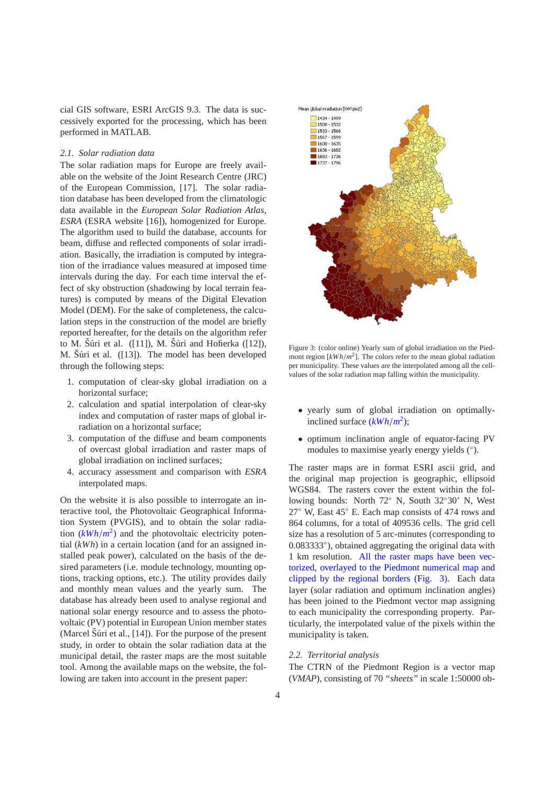cial GIS software, ESRI ArcGIS 9.3. The data is successively exported for the processing, which has been performed in MATLAB.

#### *2.1. Solar radiation data*

The solar radiation maps for Europe are freely available on the website of the Joint Research Centre (JRC) of the European Commission, [17]. The solar radiation database has been developed from the climatologic data available in the *European Solar Radiation Atlas, ESRA* (ESRA website [16]), homogenized for Europe. The algorithm used to build the database, accounts for beam, diffuse and reflected components of solar irradiation. Basically, the irradiation is computed by integration of the irradiance values measured at imposed time intervals during the day. For each time interval the effect of sky obstruction (shadowing by local terrain features) is computed by means of the Digital Elevation Model (DEM). For the sake of completeness, the calculation steps in the construction of the model are briefly reported hereafter, for the details on the algorithm refer to M. Šúri et al.  $([11])$ , M. Šúri and Hofierka  $([12])$ , M. Šúri et al.  $([13])$ . The model has been developed through the following steps:

- 1. computation of clear-sky global irradiation on a horizontal surface;
- 2. calculation and spatial interpolation of clear-sky index and computation of raster maps of global irradiation on a horizontal surface;
- 3. computation of the diffuse and beam components of overcast global irradiation and raster maps of global irradiation on inclined surfaces;
- 4. accuracy assessment and comparison with *ESRA* interpolated maps.

On the website it is also possible to interrogate an interactive tool, the Photovoltaic Geographical Information System (PVGIS), and to obtain the solar radiation  $(kWh/m^2)$  and the photovoltaic electricity potential (*kWh*) in a certain location (and for an assigned installed peak power), calculated on the basis of the desired parameters (i.e. module technology, mounting options, tracking options, etc.). The utility provides daily and monthly mean values and the yearly sum. The database has already been used to analyse regional and national solar energy resource and to assess the photovoltaic (PV) potential in European Union member states (Marcel Šúri et al.,  $[14]$ ). For the purpose of the present study, in order to obtain the solar radiation data at the municipal detail, the raster maps are the most suitable tool. Among the available maps on the website, the following are taken into account in the present paper:



Figure 3: (color online) Yearly sum of global irradiation on the Piedmont region [*kWh*/*m* 2 ]. The colors refer to the mean global radiation per municipality. These values are the interpolated among all the cellvalues of the solar radiation map falling within the municipality.

- yearly sum of global irradiation on optimallyinclined surface (*kWh*/*m* 2 );
- optimum inclination angle of equator-facing PV modules to maximise yearly energy yields (◦ ).

The raster maps are in format ESRI ascii grid, and the original map projection is geographic, ellipsoid WGS84. The rasters cover the extent within the following bounds: North 72◦ N, South 32◦30' N, West 27◦ W, East 45◦ E. Each map consists of 474 rows and 864 columns, for a total of 409536 cells. The grid cell size has a resolution of 5 arc-minutes (corresponding to 0.083333°), obtained aggregating the original data with 1 km resolution. All the raster maps have been vectorized, overlayed to the Piedmont numerical map and clipped by the regional borders (Fig. 3). Each data layer (solar radiation and optimum inclination angles) has been joined to the Piedmont vector map assigning to each municipality the corresponding property. Particularly, the interpolated value of the pixels within the municipality is taken.

#### *2.2. Territorial analysis*

The CTRN of the Piedmont Region is a vector map (*VMAP*), consisting of 70 *"sheets"* in scale 1:50000 ob-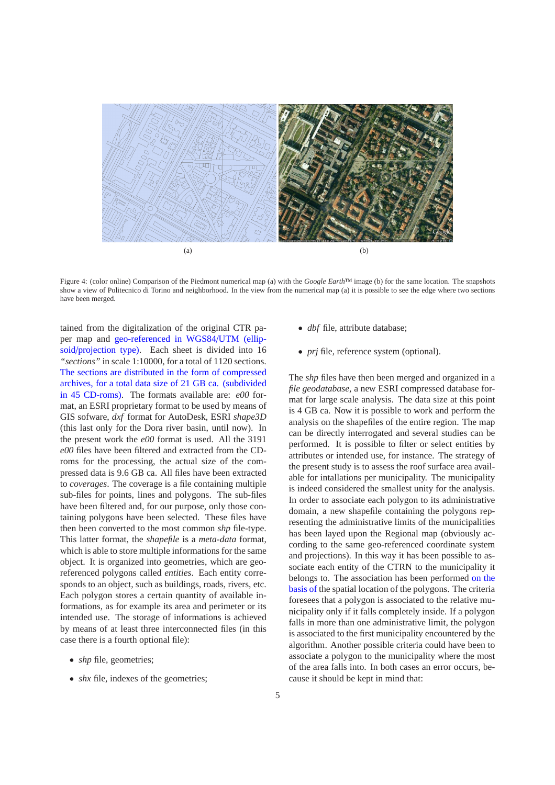

Figure 4: (color online) Comparison of the Piedmont numerical map (a) with the *Google Earth*™ image (b) for the same location. The snapshots show a view of Politecnico di Torino and neighborhood. In the view from the numerical map (a) it is possible to see the edge where two sections have been merged.

tained from the digitalization of the original CTR paper map and geo-referenced in WGS84/UTM (ellipsoid/projection type). Each sheet is divided into 16 *"sections"* in scale 1:10000, for a total of 1120 sections. The sections are distributed in the form of compressed archives, for a total data size of 21 GB ca. (subdivided in 45 CD-roms). The formats available are: *e00* format, an ESRI proprietary format to be used by means of GIS sofware, *dxf* format for AutoDesk, ESRI *shape3D* (this last only for the Dora river basin, until now). In the present work the *e00* format is used. All the 3191 *e00* files have been filtered and extracted from the CDroms for the processing, the actual size of the compressed data is 9.6 GB ca. All files have been extracted to *coverages*. The coverage is a file containing multiple sub-files for points, lines and polygons. The sub-files have been filtered and, for our purpose, only those containing polygons have been selected. These files have then been converted to the most common *shp* file-type. This latter format, the *shapefile* is a *meta-data* format, which is able to store multiple informations for the same object. It is organized into geometries, which are georeferenced polygons called *entities*. Each entity corresponds to an object, such as buildings, roads, rivers, etc. Each polygon stores a certain quantity of available informations, as for example its area and perimeter or its intended use. The storage of informations is achieved by means of at least three interconnected files (in this case there is a fourth optional file):

- *shp* file, geometries:
- *shx* file, indexes of the geometries;
- *dbf* file, attribute database;
- *prj* file, reference system (optional).

The *shp* files have then been merged and organized in a *file geodatabase*, a new ESRI compressed database format for large scale analysis. The data size at this point is 4 GB ca. Now it is possible to work and perform the analysis on the shapefiles of the entire region. The map can be directly interrogated and several studies can be performed. It is possible to filter or select entities by attributes or intended use, for instance. The strategy of the present study is to assess the roof surface area available for intallations per municipality. The municipality is indeed considered the smallest unity for the analysis. In order to associate each polygon to its administrative domain, a new shapefile containing the polygons representing the administrative limits of the municipalities has been layed upon the Regional map (obviously according to the same geo-referenced coordinate system and projections). In this way it has been possible to associate each entity of the CTRN to the municipality it belongs to. The association has been performed on the basis of the spatial location of the polygons. The criteria foresees that a polygon is associated to the relative municipality only if it falls completely inside. If a polygon falls in more than one administrative limit, the polygon is associated to the first municipality encountered by the algorithm. Another possible criteria could have been to associate a polygon to the municipality where the most of the area falls into. In both cases an error occurs, because it should be kept in mind that: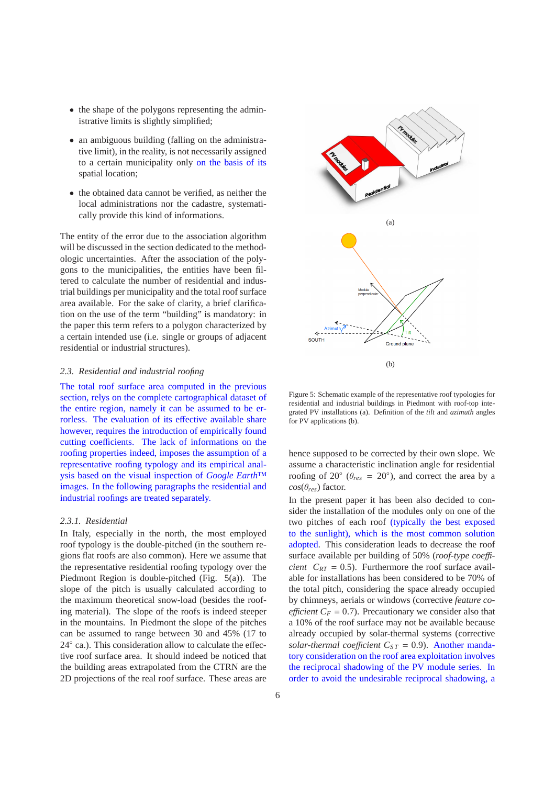- the shape of the polygons representing the administrative limits is slightly simplified;
- an ambiguous building (falling on the administrative limit), in the reality, is not necessarily assigned to a certain municipality only on the basis of its spatial location;
- the obtained data cannot be verified, as neither the local administrations nor the cadastre, systematically provide this kind of informations.

The entity of the error due to the association algorithm will be discussed in the section dedicated to the methodologic uncertainties. After the association of the polygons to the municipalities, the entities have been filtered to calculate the number of residential and industrial buildings per municipality and the total roof surface area available. For the sake of clarity, a brief clarification on the use of the term "building" is mandatory: in the paper this term refers to a polygon characterized by a certain intended use (i.e. single or groups of adjacent residential or industrial structures).

### *2.3. Residential and industrial roofing*

The total roof surface area computed in the previous section, relys on the complete cartographical dataset of the entire region, namely it can be assumed to be errorless. The evaluation of its effective available share however, requires the introduction of empirically found cutting coefficients. The lack of informations on the roofing properties indeed, imposes the assumption of a representative roofing typology and its empirical analysis based on the visual inspection of *Google Earth*™ images. In the following paragraphs the residential and industrial roofings are treated separately.

## *2.3.1. Residential*

In Italy, especially in the north, the most employed roof typology is the double-pitched (in the southern regions flat roofs are also common). Here we assume that the representative residential roofing typology over the Piedmont Region is double-pitched (Fig. 5(a)). The slope of the pitch is usually calculated according to the maximum theoretical snow-load (besides the roofing material). The slope of the roofs is indeed steeper in the mountains. In Piedmont the slope of the pitches can be assumed to range between 30 and 45% (17 to 24◦ ca.). This consideration allow to calculate the effective roof surface area. It should indeed be noticed that the building areas extrapolated from the CTRN are the 2D projections of the real roof surface. These areas are



Figure 5: Schematic example of the representative roof typologies for residential and industrial buildings in Piedmont with roof-top integrated PV installations (a). Definition of the *tilt* and *azimuth* angles for PV applications (b).

hence supposed to be corrected by their own slope. We assume a characteristic inclination angle for residential roofing of  $20° (\theta_{res} = 20°)$ , and correct the area by a  $cos(\theta_{res})$  factor.

In the present paper it has been also decided to consider the installation of the modules only on one of the two pitches of each roof (typically the best exposed to the sunlight), which is the most common solution adopted. This consideration leads to decrease the roof surface available per building of 50% (*roof-type coe*ffi*cient*  $C_{RT} = 0.5$ *. Furthermore the roof surface avail*able for installations has been considered to be 70% of the total pitch, considering the space already occupied by chimneys, aerials or windows (corrective *feature coefficient*  $C_F = 0.7$ . Precautionary we consider also that a 10% of the roof surface may not be available because already occupied by solar-thermal systems (corrective *solar-thermal coefficient*  $C_{ST} = 0.9$ ). Another mandatory consideration on the roof area exploitation involves the reciprocal shadowing of the PV module series. In order to avoid the undesirable reciprocal shadowing, a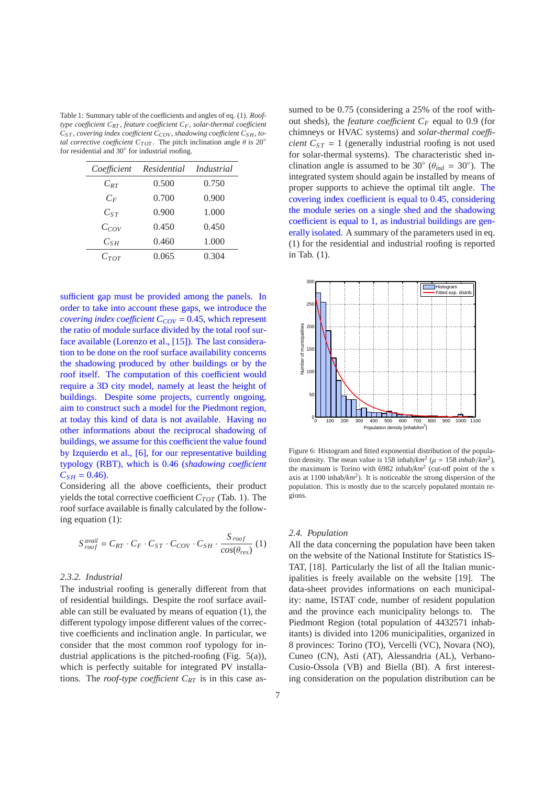Table 1: Summary table of the coefficients and angles of eq. (1). *Rooftype coe*ffi*cient CRT* , *feature coe*ffi*cient CF*, *solar-thermal coe*ffi*cient CS T* , *covering index coe*ffi*cient CCOV* , *shadowing coe*ffi*cient CS H*, *total corrective coefficient*  $C_{TOT}$ . The pitch inclination angle  $\theta$  is 20<sup>°</sup> for residential and 30◦ for industrial roofing.

| Coefficient       | Residential | <i>Industrial</i> |
|-------------------|-------------|-------------------|
| $C_{\mathit{RT}}$ | 0.500       | 0.750             |
| $C_F$             | 0.700       | 0.900             |
| $C_{ST}$          | 0.900       | 1.000             |
| $C_{Cov}$         | 0.450       | 0.450             |
| $C_{SH}$          | 0.460       | 1.000             |
| $C_{TOT}$         | 0.065       | 0.304             |

sufficient gap must be provided among the panels. In order to take into account these gaps, we introduce the *covering index coefficient*  $C_{COV}$  = 0.45, which represent the ratio of module surface divided by the total roof surface available (Lorenzo et al., [15]). The last consideration to be done on the roof surface availability concerns the shadowing produced by other buildings or by the roof itself. The computation of this coefficient would require a 3D city model, namely at least the height of buildings. Despite some projects, currently ongoing, aim to construct such a model for the Piedmont region, at today this kind of data is not available. Having no other informations about the reciprocal shadowing of buildings, we assume for this coefficient the value found by Izquierdo et al., [6], for our representative building typology (RBT), which is 0.46 (*shadowing coe*ffi*cient*  $C_{SH} = 0.46$ .

Considering all the above coefficients, their product yields the total corrective coefficient  $C_{TOT}$  (Tab. 1). The roof surface available is finally calculated by the following equation (1):

$$
S_{\text{roof}}^{\text{avail}} = C_{RT} \cdot C_F \cdot C_{ST} \cdot C_{COV} \cdot C_{SH} \cdot \frac{S_{\text{roof}}}{\cos(\theta_{\text{res}})} (1)
$$

## *2.3.2. Industrial*

The industrial roofing is generally different from that of residential buildings. Despite the roof surface available can still be evaluated by means of equation (1), the different typology impose different values of the corrective coefficients and inclination angle. In particular, we consider that the most common roof typology for industrial applications is the pitched-roofing (Fig. 5(a)), which is perfectly suitable for integrated PV installations. The *roof-type coefficient*  $C_{RT}$  is in this case assumed to be 0.75 (considering a 25% of the roof without sheds), the *feature coefficient*  $C_F$  equal to 0.9 (for chimneys or HVAC systems) and *solar-thermal coe*ffi*cient*  $C_{ST} = 1$  (generally industrial roofing is not used for solar-thermal systems). The characteristic shed inclination angle is assumed to be 30 $\degree$  ( $\theta_{ind} = 30\degree$ ). The integrated system should again be installed by means of proper supports to achieve the optimal tilt angle. The covering index coefficient is equal to 0.45, considering the module series on a single shed and the shadowing coefficient is equal to 1, as industrial buildings are generally isolated. A summary of the parameters used in eq. (1) for the residential and industrial roofing is reported in Tab. (1).



Figure 6: Histogram and fitted exponential distribution of the population density. The mean value is 158 inhab/ $km^2$  ( $\mu = 158$  *inhab*/ $km^2$ ), the maximum is Torino with 6982 inhab/*km*<sup>2</sup> (cut-off point of the x axis at  $1100$  inhab/ $km^2$ ). It is noticeable the strong dispersion of the population. This is mostly due to the scarcely populated montain regions.

#### *2.4. Population*

All the data concerning the population have been taken on the website of the National Institute for Statistics IS-TAT, [18]. Particularly the list of all the Italian municipalities is freely available on the website [19]. The data-sheet provides informations on each municipality: name, ISTAT code, number of resident population and the province each municipality belongs to. The Piedmont Region (total population of 4432571 inhabitants) is divided into 1206 municipalities, organized in 8 provinces: Torino (TO), Vercelli (VC), Novara (NO), Cuneo (CN), Asti (AT), Alessandria (AL), Verbano-Cusio-Ossola (VB) and Biella (BI). A first interesting consideration on the population distribution can be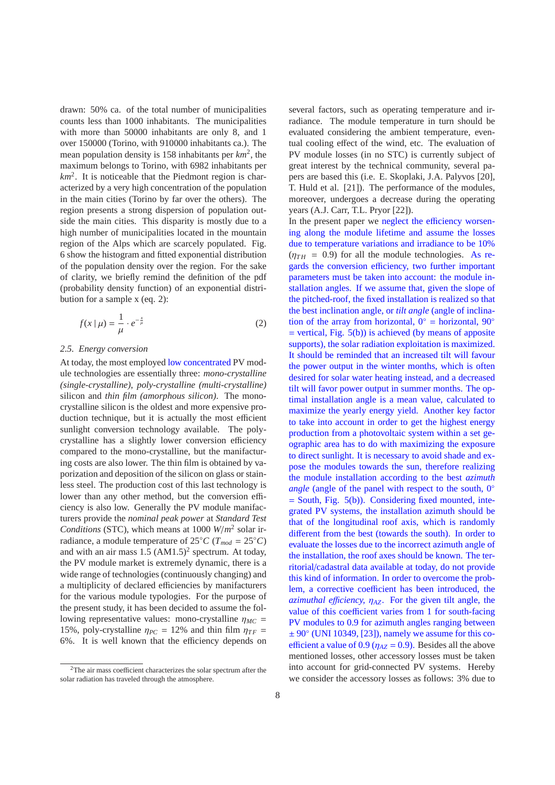drawn: 50% ca. of the total number of municipalities counts less than 1000 inhabitants. The municipalities with more than 50000 inhabitants are only 8, and 1 over 150000 (Torino, with 910000 inhabitants ca.). The mean population density is 158 inhabitants per *km*<sup>2</sup> , the maximum belongs to Torino, with 6982 inhabitants per *km*<sup>2</sup> . It is noticeable that the Piedmont region is characterized by a very high concentration of the population in the main cities (Torino by far over the others). The region presents a strong dispersion of population outside the main cities. This disparity is mostly due to a high number of municipalities located in the mountain region of the Alps which are scarcely populated. Fig. 6 show the histogram and fitted exponential distribution of the population density over the region. For the sake of clarity, we briefly remind the definition of the pdf (probability density function) of an exponential distribution for a sample x (eq. 2):

$$
f(x \mid \mu) = \frac{1}{\mu} \cdot e^{-\frac{x}{\mu}} \tag{2}
$$

#### *2.5. Energy conversion*

At today, the most employed low concentrated PV module technologies are essentially three: *mono-crystalline (single-crystalline)*, *poly-crystalline (multi-crystalline)* silicon and *thin film (amorphous silicon)*. The monocrystalline silicon is the oldest and more expensive production technique, but it is actually the most efficient sunlight conversion technology available. The polycrystalline has a slightly lower conversion efficiency compared to the mono-crystalline, but the manifacturing costs are also lower. The thin film is obtained by vaporization and deposition of the silicon on glass or stainless steel. The production cost of this last technology is lower than any other method, but the conversion efficiency is also low. Generally the PV module manifacturers provide the *nominal peak power* at *Standard Test Conditions* (STC), which means at 1000 *W*/*m* 2 solar irradiance, a module temperature of 25°*C* ( $T_{mod} = 25$ °*C*) and with an air mass  $1.5 \text{ (AM1.5)}^2$  spectrum. At today, the PV module market is extremely dynamic, there is a wide range of technologies (continuously changing) and a multiplicity of declared efficiencies by manifacturers for the various module typologies. For the purpose of the present study, it has been decided to assume the following representative values: mono-crystalline  $\eta_{MC}$  = 15%, poly-crystalline  $\eta_{PC} = 12\%$  and thin film  $\eta_{TF} =$ 6%. It is well known that the efficiency depends on

several factors, such as operating temperature and irradiance. The module temperature in turn should be evaluated considering the ambient temperature, eventual cooling effect of the wind, etc. The evaluation of PV module losses (in no STC) is currently subject of great interest by the technical community, several papers are based this (i.e. E. Skoplaki, J.A. Palyvos [20], T. Huld et al. [21]). The performance of the modules, moreover, undergoes a decrease during the operating years (A.J. Carr, T.L. Pryor [22]).

In the present paper we neglect the efficiency worsening along the module lifetime and assume the losses due to temperature variations and irradiance to be 10%  $(\eta_{TH} = 0.9)$  for all the module technologies. As regards the conversion efficiency, two further important parameters must be taken into account: the module installation angles. If we assume that, given the slope of the pitched-roof, the fixed installation is realized so that the best inclination angle, or *tilt angle* (angle of inclination of the array from horizontal,  $0^\circ$  = horizontal,  $90^\circ$  $=$  vertical, Fig.  $5(b)$ ) is achieved (by means of apposite supports), the solar radiation exploitation is maximized. It should be reminded that an increased tilt will favour the power output in the winter months, which is often desired for solar water heating instead, and a decreased tilt will favor power output in summer months. The optimal installation angle is a mean value, calculated to maximize the yearly energy yield. Another key factor to take into account in order to get the highest energy production from a photovoltaic system within a set geographic area has to do with maximizing the exposure to direct sunlight. It is necessary to avoid shade and expose the modules towards the sun, therefore realizing the module installation according to the best *azimuth angle* (angle of the panel with respect to the south, 0°  $=$  South, Fig.  $5(b)$ ). Considering fixed mounted, integrated PV systems, the installation azimuth should be that of the longitudinal roof axis, which is randomly different from the best (towards the south). In order to evaluate the losses due to the incorrect azimuth angle of the installation, the roof axes should be known. The territorial/cadastral data available at today, do not provide this kind of information. In order to overcome the problem, a corrective coefficient has been introduced, the  $a$ zimuthal efficiency,  $\eta_{AZ}$ . For the given tilt angle, the value of this coefficient varies from 1 for south-facing PV modules to 0.9 for azimuth angles ranging between  $\pm 90^\circ$  (UNI 10349, [23]), namely we assume for this coefficient a value of 0.9 ( $\eta_{AZ}$  = 0.9). Besides all the above mentioned losses, other accessory losses must be taken into account for grid-connected PV systems. Hereby we consider the accessory losses as follows: 3% due to

<sup>2</sup>The air mass coefficient characterizes the solar spectrum after the solar radiation has traveled through the atmosphere.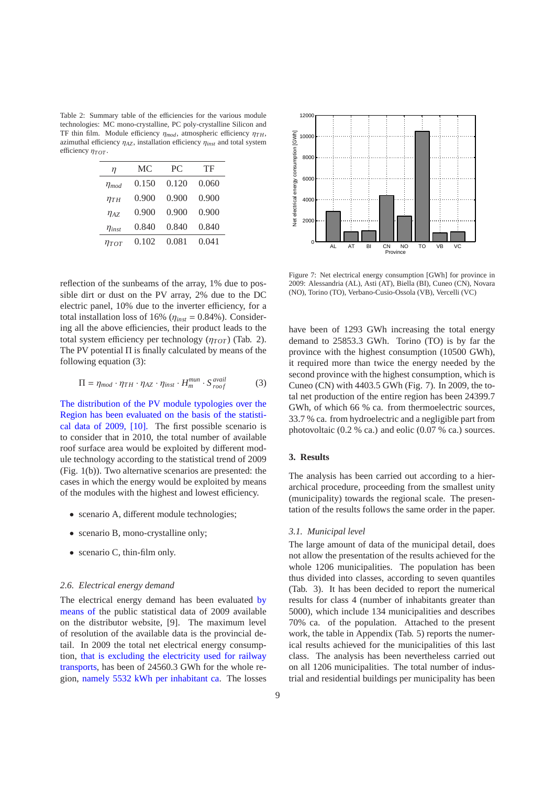Table 2: Summary table of the efficiencies for the various module technologies: MC mono-crystalline, PC poly-crystalline Silicon and TF thin film. Module efficiency  $\eta_{mod}$ , atmospheric efficiency  $\eta_{TH}$ , azimuthal efficiency  $\eta_{AZ}$ , installation efficiency  $\eta_{inst}$  and total system efficiency  $η<sub>TOT</sub>$ .

| η             | МC    | PC.   | TF    |
|---------------|-------|-------|-------|
| $\eta_{mod}$  | 0.150 | 0.120 | 0.060 |
| $\eta_{TH}$   | 0.900 | 0.900 | 0.900 |
| $\eta_{AZ}$   | 0.900 | 0.900 | 0.900 |
| $\eta_{inst}$ | 0.840 | 0.840 | 0.840 |
| Птот          | 0.102 | 0.081 | 0.041 |

reflection of the sunbeams of the array, 1% due to possible dirt or dust on the PV array, 2% due to the DC electric panel, 10% due to the inverter efficiency, for a total installation loss of 16% ( $\eta_{inst} = 0.84$ %). Considering all the above efficiencies, their product leads to the total system efficiency per technology  $(\eta_{TOT})$  (Tab. 2). The PV potential Π is finally calculated by means of the following equation (3):

$$
\Pi = \eta_{mod} \cdot \eta_{TH} \cdot \eta_{AZ} \cdot \eta_{inst} \cdot H_m^{mun} \cdot S_{root}^{avail} \tag{3}
$$

The distribution of the PV module typologies over the Region has been evaluated on the basis of the statistical data of 2009, [10]. The first possible scenario is to consider that in 2010, the total number of available roof surface area would be exploited by different module technology according to the statistical trend of 2009 (Fig. 1(b)). Two alternative scenarios are presented: the cases in which the energy would be exploited by means of the modules with the highest and lowest efficiency.

- scenario A, different module technologies;
- scenario B, mono-crystalline only;
- scenario C, thin-film only.

### *2.6. Electrical energy demand*

The electrical energy demand has been evaluated by means of the public statistical data of 2009 available on the distributor website, [9]. The maximum level of resolution of the available data is the provincial detail. In 2009 the total net electrical energy consumption, that is excluding the electricity used for railway transports, has been of 24560.3 GWh for the whole region, namely 5532 kWh per inhabitant ca. The losses



Figure 7: Net electrical energy consumption [GWh] for province in 2009: Alessandria (AL), Asti (AT), Biella (BI), Cuneo (CN), Novara (NO), Torino (TO), Verbano-Cusio-Ossola (VB), Vercelli (VC)

have been of 1293 GWh increasing the total energy demand to 25853.3 GWh. Torino (TO) is by far the province with the highest consumption (10500 GWh), it required more than twice the energy needed by the second province with the highest consumption, which is Cuneo (CN) with 4403.5 GWh (Fig. 7). In 2009, the total net production of the entire region has been 24399.7 GWh, of which 66 % ca. from thermoelectric sources, 33.7 % ca. from hydroelectric and a negligible part from photovoltaic (0.2 % ca.) and eolic (0.07 % ca.) sources.

## **3. Results**

The analysis has been carried out according to a hierarchical procedure, proceeding from the smallest unity (municipality) towards the regional scale. The presentation of the results follows the same order in the paper.

#### *3.1. Municipal level*

The large amount of data of the municipal detail, does not allow the presentation of the results achieved for the whole 1206 municipalities. The population has been thus divided into classes, according to seven quantiles (Tab. 3). It has been decided to report the numerical results for class 4 (number of inhabitants greater than 5000), which include 134 municipalities and describes 70% ca. of the population. Attached to the present work, the table in Appendix (Tab. 5) reports the numerical results achieved for the municipalities of this last class. The analysis has been nevertheless carried out on all 1206 municipalities. The total number of industrial and residential buildings per municipality has been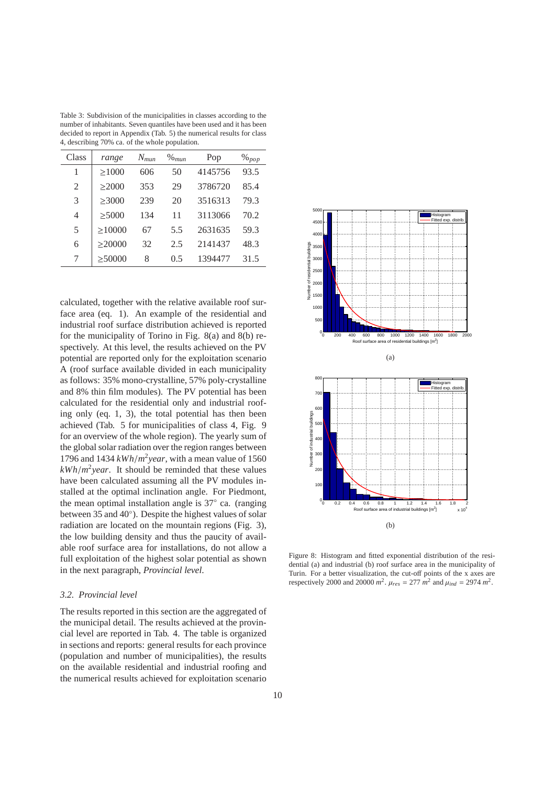Table 3: Subdivision of the municipalities in classes according to the number of inhabitants. Seven quantiles have been used and it has been decided to report in Appendix (Tab. 5) the numerical results for class 4, describing 70% ca. of the whole population.

| Class | range        | $N_{mun}$ | $\%$ <sub>mun</sub> | Pop     | $\%$ pop |
|-------|--------------|-----------|---------------------|---------|----------|
| 1     | >1000        | 606       | 50                  | 4145756 | 93.5     |
| 2     | $\geq$ 2000  | 353       | 29                  | 3786720 | 85.4     |
| 3     | >3000        | 239       | 20                  | 3516313 | 79.3     |
| 4     | > 5000       | 134       | 11                  | 3113066 | 70.2     |
| 5     | $\geq$ 10000 | 67        | 5.5                 | 2631635 | 59.3     |
| 6     | >20000       | 32        | 2.5                 | 2141437 | 48.3     |
| 7     | > 50000      | 8         | 0.5                 | 1394477 | 31.5     |
|       |              |           |                     |         |          |

calculated, together with the relative available roof surface area (eq. 1). An example of the residential and industrial roof surface distribution achieved is reported for the municipality of Torino in Fig. 8(a) and 8(b) respectively. At this level, the results achieved on the PV potential are reported only for the exploitation scenario A (roof surface available divided in each municipality as follows: 35% mono-crystalline, 57% poly-crystalline and 8% thin film modules). The PV potential has been calculated for the residential only and industrial roofing only (eq. 1, 3), the total potential has then been achieved (Tab. 5 for municipalities of class 4, Fig. 9 for an overview of the whole region). The yearly sum of the global solar radiation over the region ranges between 1796 and 1434  $kWh/m^2$ *year*, with a mean value of 1560  $kWh/m^2year$ . It should be reminded that these values have been calculated assuming all the PV modules installed at the optimal inclination angle. For Piedmont, the mean optimal installation angle is 37◦ ca. (ranging between 35 and 40°). Despite the highest values of solar radiation are located on the mountain regions (Fig. 3), the low building density and thus the paucity of available roof surface area for installations, do not allow a full exploitation of the highest solar potential as shown in the next paragraph, *Provincial level*.

## *3.2. Provincial level*

The results reported in this section are the aggregated of the municipal detail. The results achieved at the provincial level are reported in Tab. 4. The table is organized in sections and reports: general results for each province (population and number of municipalities), the results on the available residential and industrial roofing and the numerical results achieved for exploitation scenario



Figure 8: Histogram and fitted exponential distribution of the residential (a) and industrial (b) roof surface area in the municipality of Turin. For a better visualization, the cut-off points of the x axes are respectively 2000 and 20000  $m^2$ .  $\mu_{res} = 277 \ m^2$  and  $\mu_{ind} = 2974 \ m^2$ .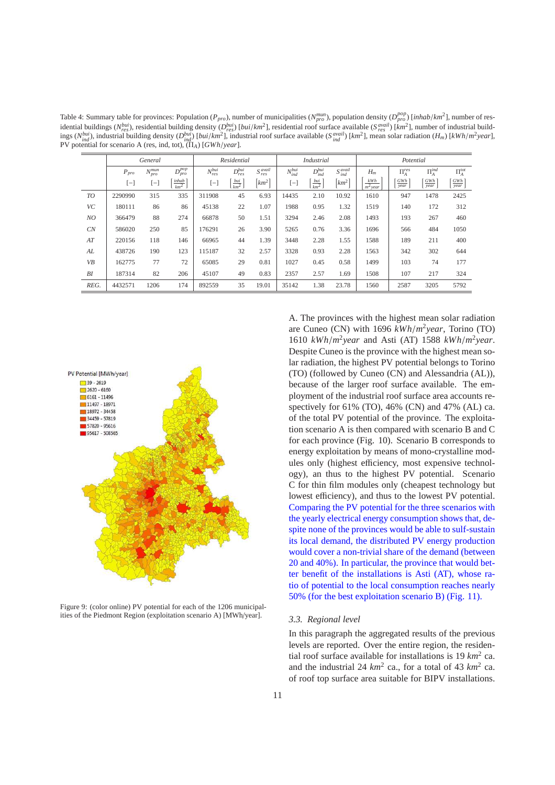Table 4: Summary table for provinces: Population ( $P_{pro}$ ), number of municipalities ( $N_{pro}^{num}$ ), population density ( $D_{pro}^{pop}$ ) [inhab/km<sup>2</sup>], number of residential buildings ( $N_{res}^{bui}$ ), residential building density ( $D_{res}^{bui}$ ) [ $bui/km^2$ ], residential roof surface available ( $S_{res}^{avail}$ ) [ $km^2$ ], number of industrial buildings  $(N_{ind}^{but})$ , industrial building density  $(D_{ind}^{but})$  [*bui*/*km*<sup>2</sup>], industrial roof surface available ( $S_{ind}^{avail}$ ) [*km*<sup>2</sup>], mean solar radiation ( $H_m$ ) [*kWh*/*m*<sup>2</sup>year], PV potential for scenario A (res, ind, tot), (Π*A*) [*GWh*/*year*].

|      |           | General         |                      |                 | Residential      |                                 |                  | <b>Industrial</b>  |                      |                                      | Potential          |               |               |
|------|-----------|-----------------|----------------------|-----------------|------------------|---------------------------------|------------------|--------------------|----------------------|--------------------------------------|--------------------|---------------|---------------|
|      | $P_{pro}$ | $N_{pro}^{mun}$ | $D_{pro}^{pop}$      | $N_{res}^{bui}$ | $D^{bui}$<br>res | $S_{res}^{avail}$               | $N_{ind}^{bui}$  | $D_{ind}^{bui}$    | $S_{ind}^{avail}$    | $H_m$                                | $\Pi_A^{res}$      | $\Pi_A^{ind}$ | $\Pi_A^{tot}$ |
|      | $[-]$     | $[-]$           | $\frac{inhab}{km^2}$ | $[-]$           | $rac{bui}{km^2}$ | $\left[ \mathrm{km}^{2}\right]$ | $\left[-\right]$ | $\frac{bui}{km^2}$ | $\lceil km^2 \rceil$ | $kWh$<br>$\overline{ }$<br>$m2$ vear | GWh<br><i>vear</i> | GWh<br>vear   | GWh<br>year   |
| TO   | 2290990   | 315             | 335                  | 311908          | 45               | 6.93                            | 14435            | 2.10               | 10.92                | 1610                                 | 947                | 1478          | 2425          |
| VC   | 180111    | 86              | 86                   | 45138           | 22               | 1.07                            | 1988             | 0.95               | 1.32                 | 1519                                 | 140                | 172           | 312           |
| NO   | 366479    | 88              | 274                  | 66878           | 50               | 1.51                            | 3294             | 2.46               | 2.08                 | 1493                                 | 193                | 267           | 460           |
| CN   | 586020    | 250             | 85                   | 176291          | 26               | 3.90                            | 5265             | 0.76               | 3.36                 | 1696                                 | 566                | 484           | 1050          |
| AT   | 220156    | 118             | 146                  | 66965           | 44               | 1.39                            | 3448             | 2.28               | 1.55                 | 1588                                 | 189                | 211           | 400           |
| AL   | 438726    | 190             | 123                  | 115187          | 32               | 2.57                            | 3328             | 0.93               | 2.28                 | 1563                                 | 342                | 302           | 644           |
| VB   | 162775    | 77              | 72                   | 65085           | 29               | 0.81                            | 1027             | 0.45               | 0.58                 | 1499                                 | 103                | 74            | 177           |
| BI   | 187314    | 82              | 206                  | 45107           | 49               | 0.83                            | 2357             | 2.57               | 1.69                 | 1508                                 | 107                | 217           | 324           |
| REG. | 4432571   | 1206            | 174                  | 892559          | 35               | 19.01                           | 35142            | 1.38               | 23.78                | 1560                                 | 2587               | 3205          | 5792          |



Figure 9: (color online) PV potential for each of the 1206 municipalities of the Piedmont Region (exploitation scenario A) [MWh/year].

A. The provinces with the highest mean solar radiation are Cuneo (CN) with 1696 *kWh*/*m* 2 *year*, Torino (TO) 1610 *kWh*/*m* 2 *year* and Asti (AT) 1588 *kWh*/*m* 2 *year*. Despite Cuneo is the province with the highest mean solar radiation, the highest PV potential belongs to Torino (TO) (followed by Cuneo (CN) and Alessandria (AL)), because of the larger roof surface available. The employment of the industrial roof surface area accounts respectively for 61% (TO), 46% (CN) and 47% (AL) ca. of the total PV potential of the province. The exploitation scenario A is then compared with scenario B and C for each province (Fig. 10). Scenario B corresponds to energy exploitation by means of mono-crystalline modules only (highest efficiency, most expensive technology), an thus to the highest PV potential. Scenario C for thin film modules only (cheapest technology but lowest efficiency), and thus to the lowest PV potential. Comparing the PV potential for the three scenarios with the yearly electrical energy consumption shows that, despite none of the provinces would be able to sulf-sustain its local demand, the distributed PV energy production would cover a non-trivial share of the demand (between 20 and 40%). In particular, the province that would better benefit of the installations is Asti (AT), whose ratio of potential to the local consumption reaches nearly 50% (for the best exploitation scenario B) (Fig. 11).

#### *3.3. Regional level*

In this paragraph the aggregated results of the previous levels are reported. Over the entire region, the residential roof surface available for installations is 19 *km*<sup>2</sup> ca. and the industrial 24  $km^2$  ca., for a total of 43  $km^2$  ca. of roof top surface area suitable for BIPV installations.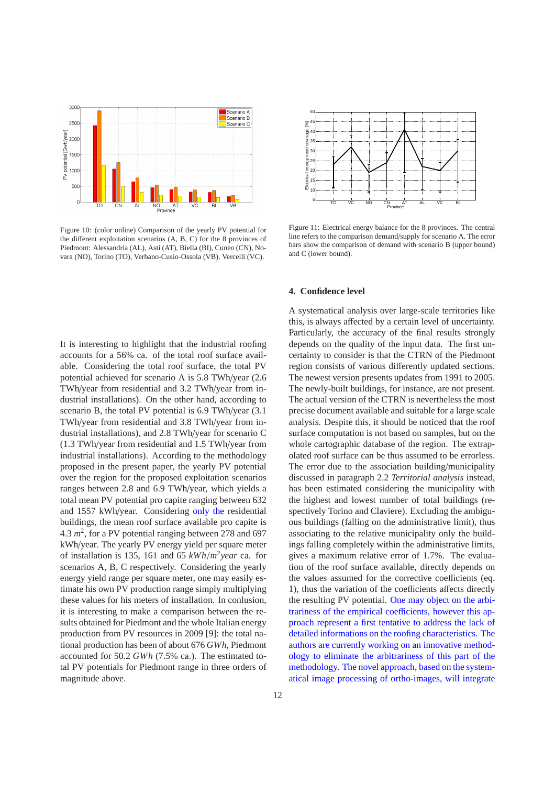

Figure 10: (color online) Comparison of the yearly PV potential for the different exploitation scenarios (A, B, C) for the 8 provinces of Piedmont: Alessandria (AL), Asti (AT), Biella (BI), Cuneo (CN), Novara (NO), Torino (TO), Verbano-Cusio-Ossola (VB), Vercelli (VC).

It is interesting to highlight that the industrial roofing accounts for a 56% ca. of the total roof surface available. Considering the total roof surface, the total PV potential achieved for scenario A is 5.8 TWh/year (2.6 TWh/year from residential and 3.2 TWh/year from industrial installations). On the other hand, according to scenario B, the total PV potential is 6.9 TWh/year (3.1 TWh/year from residential and 3.8 TWh/year from industrial installations), and 2.8 TWh/year for scenario C (1.3 TWh/year from residential and 1.5 TWh/year from industrial installations). According to the methodology proposed in the present paper, the yearly PV potential over the region for the proposed exploitation scenarios ranges between 2.8 and 6.9 TWh/year, which yields a total mean PV potential pro capite ranging between 632 and 1557 kWh/year. Considering only the residential buildings, the mean roof surface available pro capite is  $4.3 \, m^2$ , for a PV potential ranging between 278 and 697 kWh/year. The yearly PV energy yield per square meter of installation is 135, 161 and 65 *kWh*/*m* 2 *year* ca. for scenarios A, B, C respectively. Considering the yearly energy yield range per square meter, one may easily estimate his own PV production range simply multiplying these values for his meters of installation. In conlusion, it is interesting to make a comparison between the results obtained for Piedmont and the whole Italian energy production from PV resources in 2009 [9]: the total national production has been of about 676 *GWh*, Piedmont accounted for 50.2 *GWh* (7.5% ca.). The estimated total PV potentials for Piedmont range in three orders of magnitude above.



Figure 11: Electrical energy balance for the 8 provinces. The central line refers to the comparison demand/supply for scenario A. The error bars show the comparison of demand with scenario B (upper bound) and C (lower bound).

## **4. Confidence level**

A systematical analysis over large-scale territories like this, is always affected by a certain level of uncertainty. Particularly, the accuracy of the final results strongly depends on the quality of the input data. The first uncertainty to consider is that the CTRN of the Piedmont region consists of various differently updated sections. The newest version presents updates from 1991 to 2005. The newly-built buildings, for instance, are not present. The actual version of the CTRN is nevertheless the most precise document available and suitable for a large scale analysis. Despite this, it should be noticed that the roof surface computation is not based on samples, but on the whole cartographic database of the region. The extrapolated roof surface can be thus assumed to be errorless. The error due to the association building/municipality discussed in paragraph 2.2 *Territorial analysis* instead, has been estimated considering the municipality with the highest and lowest number of total buildings (respectively Torino and Claviere). Excluding the ambiguous buildings (falling on the administrative limit), thus associating to the relative municipality only the buildings falling completely within the administrative limits, gives a maximum relative error of 1.7%. The evaluation of the roof surface available, directly depends on the values assumed for the corrective coefficients (eq. 1), thus the variation of the coefficients affects directly the resulting PV potential. One may object on the arbitrariness of the empirical coefficients, however this approach represent a first tentative to address the lack of detailed informations on the roofing characteristics. The authors are currently working on an innovative methodology to eliminate the arbitrariness of this part of the methodology. The novel approach, based on the systematical image processing of ortho-images, will integrate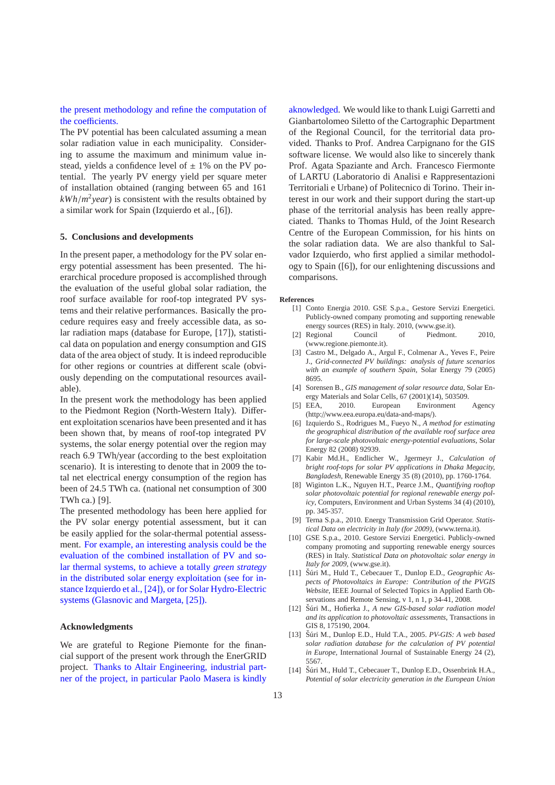the present methodology and refine the computation of the coefficients.

The PV potential has been calculated assuming a mean solar radiation value in each municipality. Considering to assume the maximum and minimum value instead, yields a confidence level of  $\pm$  1% on the PV potential. The yearly PV energy yield per square meter of installation obtained (ranging between 65 and 161 *kWh*/*m* 2 *year*) is consistent with the results obtained by a similar work for Spain (Izquierdo et al., [6]).

#### **5. Conclusions and developments**

In the present paper, a methodology for the PV solar energy potential assessment has been presented. The hierarchical procedure proposed is accomplished through the evaluation of the useful global solar radiation, the roof surface available for roof-top integrated PV systems and their relative performances. Basically the procedure requires easy and freely accessible data, as solar radiation maps (database for Europe, [17]), statistical data on population and energy consumption and GIS data of the area object of study. It is indeed reproducible for other regions or countries at different scale (obviously depending on the computational resources available).

In the present work the methodology has been applied to the Piedmont Region (North-Western Italy). Different exploitation scenarios have been presented and it has been shown that, by means of roof-top integrated PV systems, the solar energy potential over the region may reach 6.9 TWh/year (according to the best exploitation scenario). It is interesting to denote that in 2009 the total net electrical energy consumption of the region has been of 24.5 TWh ca. (national net consumption of 300 TWh ca.) [9].

The presented methodology has been here applied for the PV solar energy potential assessment, but it can be easily applied for the solar-thermal potential assessment. For example, an interesting analysis could be the evaluation of the combined installation of PV and solar thermal systems, to achieve a totally *green strategy* in the distributed solar energy exploitation (see for instance Izquierdo et al., [24]), or for Solar Hydro-Electric systems (Glasnovic and Margeta, [25]).

#### **Acknowledgments**

We are grateful to Regione Piemonte for the financial support of the present work through the EnerGRID project. Thanks to Altair Engineering, industrial partner of the project, in particular Paolo Masera is kindly aknowledged. We would like to thank Luigi Garretti and Gianbartolomeo Siletto of the Cartographic Department of the Regional Council, for the territorial data provided. Thanks to Prof. Andrea Carpignano for the GIS software license. We would also like to sincerely thank Prof. Agata Spaziante and Arch. Francesco Fiermonte of LARTU (Laboratorio di Analisi e Rappresentazioni Territoriali e Urbane) of Politecnico di Torino. Their interest in our work and their support during the start-up phase of the territorial analysis has been really appreciated. Thanks to Thomas Huld, of the Joint Research Centre of the European Commission, for his hints on the solar radiation data. We are also thankful to Salvador Izquierdo, who first applied a similar methodology to Spain ([6]), for our enlightening discussions and comparisons.

#### **References**

- [1] Conto Energia 2010. GSE S.p.a., Gestore Servizi Energetici. Publicly-owned company promoting and supporting renewable energy sources (RES) in Italy. 2010, (www.gse.it).
- [2] Regional Council of Piedmont. 2010. (www.regione.piemonte.it).
- [3] Castro M., Delgado A., Argul F., Colmenar A., Yeves F., Peire J., *Grid-connected PV buildings: analysis of future scenarios with an example of southern Spain*, Solar Energy 79 (2005) 8695.
- [4] Sorensen B., *GIS management of solar resource data*, Solar Energy Materials and Solar Cells, 67 (2001)(14), 503509.
- [5] EEA, 2010. European Environment Agency (http://www.eea.europa.eu/data-and-maps/).
- [6] Izquierdo S., Rodrigues M., Fueyo N., *A method for estimating the geographical distribution of the available roof surface area for large-scale photovoltaic energy-potential evaluations*, Solar Energy 82 (2008) 92939.
- [7] Kabir Md.H., Endlicher W., Jgermeyr J., *Calculation of bright roof-tops for solar PV applications in Dhaka Megacity, Bangladesh*, Renewable Energy 35 (8) (2010), pp. 1760-1764.
- [8] Wiginton L.K., Nguyen H.T., Pearce J.M., *Quantifying rooftop solar photovoltaic potential for regional renewable energy policy*, Computers, Environment and Urban Systems 34 (4) (2010), pp. 345-357.
- [9] Terna S.p.a., 2010. Energy Transmission Grid Operator. *Statistical Data on electricity in Italy (for 2009)*, (www.terna.it).
- [10] GSE S.p.a., 2010. Gestore Servizi Energetici. Publicly-owned company promoting and supporting renewable energy sources (RES) in Italy. *Statistical Data on photovoltaic solar energy in Italy for 2009*, (www.gse.it).
- [11] Šúri M., Huld T., Cebecauer T., Dunlop E.D., *Geographic Aspects of Photovoltaics in Europe: Contribution of the PVGIS Website*, IEEE Journal of Selected Topics in Applied Earth Observations and Remote Sensing, v 1, n 1, p 34-41, 2008.
- [12] Šúri M., Hofierka J., A new GIS-based solar radiation model *and its application to photovoltaic assessments*, Transactions in GIS 8, 175190, 2004.
- [13] Šúri M., Dunlop E.D., Huld T.A., 2005. *PV-GIS: A web based solar radiation database for the calculation of PV potential in Europe*, International Journal of Sustainable Energy 24 (2), 5567.
- [14] Šúri M., Huld T., Cebecauer T., Dunlop E.D., Ossenbrink H.A., *Potential of solar electricity generation in the European Union*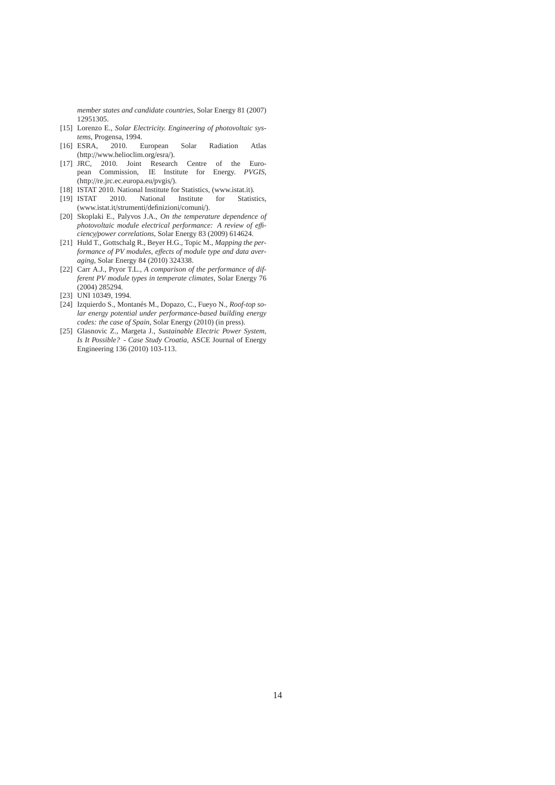*member states and candidate countries*, Solar Energy 81 (2007) 12951305.

- [15] Lorenzo E., *Solar Electricity. Engineering of photovoltaic systems*, Progensa, 1994.
- [16] ESRA, 2010. European Solar Radiation Atlas (http://www.helioclim.org/esra/).
- [17] JRC, 2010. Joint Research Centre of the European Commission, IE Institute for Energy. *PVGIS*, (http://re.jrc.ec.europa.eu/pvgis/).
- [18] ISTAT 2010. National Institute for Statistics, (www.istat.it).
- [19] ISTAT 2010. National Institute for Statistics, (www.istat.it/strumenti/definizioni/comuni/).
- [20] Skoplaki E., Palyvos J.A., *On the temperature dependence of photovoltaic module electrical performance: A review of e*ffi*ciency*/*power correlations*, Solar Energy 83 (2009) 614624.
- [21] Huld T., Gottschalg R., Beyer H.G., Topic M., *Mapping the performance of PV modules, e*ff*ects of module type and data averaging*, Solar Energy 84 (2010) 324338.
- [22] Carr A.J., Pryor T.L., *A comparison of the performance of different PV module types in temperate climates*, Solar Energy 76 (2004) 285294.
- [23] UNI 10349, 1994.
- [24] Izquierdo S., Montanés M., Dopazo, C., Fueyo N., *Roof-top solar energy potential under performance-based building energy codes: the case of Spain*, Solar Energy (2010) (in press).
- [25] Glasnovic Z., Margeta J., *Sustainable Electric Power System, Is It Possible? - Case Study Croatia*, ASCE Journal of Energy Engineering 136 (2010) 103-113.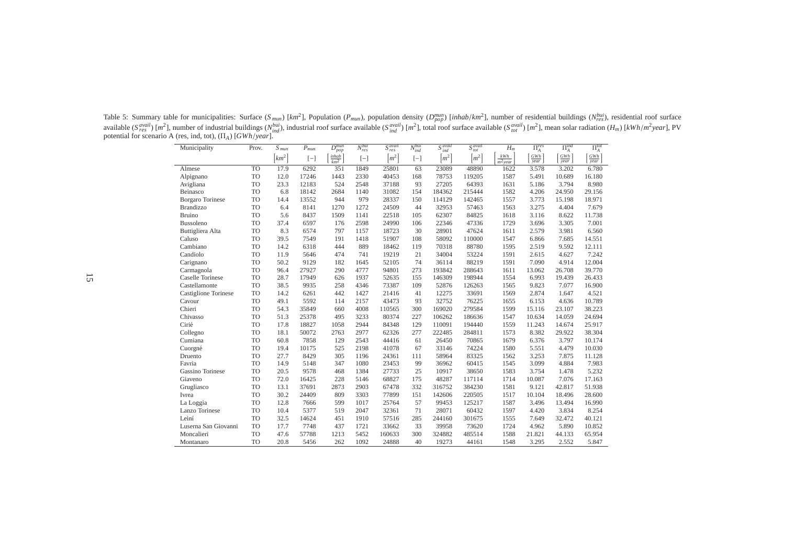| Municipality            | Prov.     | $S_{mu}$            | $P_{mun}$ | $D^{mun}$<br>pop           | $N_{res}^{bui}$ | S <sub>axail</sub><br>res | N <sup>bui</sup><br>'ind | $S^{avail}$<br>ind               | S <sub>aval</sub><br>tot       | $H_m$                       | $\Pi_{A}^{res}$ | $\Pi^{ind}_A$ | $\Pi^{tot}_A$ |
|-------------------------|-----------|---------------------|-----------|----------------------------|-----------------|---------------------------|--------------------------|----------------------------------|--------------------------------|-----------------------------|-----------------|---------------|---------------|
|                         |           | $\left[km^2\right]$ | $[-]$     | inhab<br>$\overline{km^2}$ | $[-]$           | $\lceil m^2 \rceil$       | $[-]$                    | $\left\lfloor m^2 \right\rfloor$ | $\left\lceil m^2 \right\rceil$ | kWh<br>$\overline{m^2$ year | GWh<br>year     | GWh<br>year   | GWh<br>year   |
| Almese                  | <b>TO</b> | 17.9                | 6292      | 351                        | 1849            | 25801                     | 63                       | 23089                            | 48890                          | 1622                        | 3.578           | 3.202         | 6.780         |
| Alpignano               | <b>TO</b> | 12.0                | 17246     | 1443                       | 2330            | 40453                     | 168                      | 78753                            | 119205                         | 1587                        | 5.491           | 10.689        | 16.180        |
| Avigliana               | TO        | 23.3                | 12183     | 524                        | 2548            | 37188                     | 93                       | 27205                            | 64393                          | 1631                        | 5.186           | 3.794         | 8.980         |
| Beinasco                | <b>TO</b> | 6.8                 | 18142     | 2684                       | 1140            | 31082                     | 154                      | 184362                           | 215444                         | 1582                        | 4.206           | 24.950        | 29.156        |
| <b>Borgaro</b> Torinese | <b>TO</b> | 14.4                | 13552     | 944                        | 979             | 28337                     | 150                      | 114129                           | 142465                         | 1557                        | 3.773           | 15.198        | 18.971        |
| <b>Brandizzo</b>        | <b>TO</b> | 6.4                 | 8141      | 1270                       | 1272            | 24509                     | 44                       | 32953                            | 57463                          | 1563                        | 3.275           | 4.404         | 7.679         |
| <b>Bruino</b>           | <b>TO</b> | 5.6                 | 8437      | 1509                       | 1141            | 22518                     | 105                      | 62307                            | 84825                          | 1618                        | 3.116           | 8.622         | 11.738        |
| Bussoleno               | <b>TO</b> | 37.4                | 6597      | 176                        | 2598            | 24990                     | 106                      | 22346                            | 47336                          | 1729                        | 3.696           | 3.305         | 7.001         |
| Buttigliera Alta        | <b>TO</b> | 8.3                 | 6574      | 797                        | 1157            | 18723                     | 30                       | 28901                            | 47624                          | 1611                        | 2.579           | 3.981         | 6.560         |
| Caluso                  | <b>TO</b> | 39.5                | 7549      | 191                        | 1418            | 51907                     | 108                      | 58092                            | 110000                         | 1547                        | 6.866           | 7.685         | 14.551        |
| Cambiano                | <b>TO</b> | 14.2                | 6318      | 444                        | 889             | 18462                     | 119                      | 70318                            | 88780                          | 1595                        | 2.519           | 9.592         | 12.111        |
| Candiolo                | TO        | 11.9                | 5646      | 474                        | 741             | 19219                     | 21                       | 34004                            | 53224                          | 1591                        | 2.615           | 4.627         | 7.242         |
| Carignano               | <b>TO</b> | 50.2                | 9129      | 182                        | 1645            | 52105                     | 74                       | 36114                            | 88219                          | 1591                        | 7.090           | 4.914         | 12.004        |
| Carmagnola              | <b>TO</b> | 96.4                | 27927     | 290                        | 4777            | 94801                     | 273                      | 193842                           | 288643                         | 1611                        | 13.062          | 26.708        | 39.770        |
| Caselle Torinese        | <b>TO</b> | 28.7                | 17949     | 626                        | 1937            | 52635                     | 155                      | 146309                           | 198944                         | 1554                        | 6.993           | 19.439        | 26.433        |
| Castellamonte           | <b>TO</b> | 38.5                | 9935      | 258                        | 4346            | 73387                     | 109                      | 52876                            | 126263                         | 1565                        | 9.823           | 7.077         | 16.900        |
| Castiglione Torinese    | <b>TO</b> | 14.2                | 6261      | 442                        | 1427            | 21416                     | 41                       | 12275                            | 33691                          | 1569                        | 2.874           | 1.647         | 4.521         |
| Cavour                  | <b>TO</b> | 49.1                | 5592      | 114                        | 2157            | 43473                     | 93                       | 32752                            | 76225                          | 1655                        | 6.153           | 4.636         | 10.789        |
| Chieri                  | <b>TO</b> | 54.3                | 35849     | 660                        | 4008            | 110565                    | 300                      | 169020                           | 279584                         | 1599                        | 15.116          | 23.107        | 38.223        |
| Chivasso                | <b>TO</b> | 51.3                | 25378     | 495                        | 3233            | 80374                     | 227                      | 106262                           | 186636                         | 1547                        | 10.634          | 14.059        | 24.694        |
| Cirié                   | <b>TO</b> | 17.8                | 18827     | 1058                       | 2944            | 84348                     | 129                      | 110091                           | 194440                         | 1559                        | 11.243          | 14.674        | 25.917        |
| Collegno                | <b>TO</b> | 18.1                | 50072     | 2763                       | 2977            | 62326                     | 277                      | 222485                           | 284811                         | 1573                        | 8.382           | 29.922        | 38.304        |
| Cumiana                 | <b>TO</b> | 60.8                | 7858      | 129                        | 2543            | 44416                     | 61                       | 26450                            | 70865                          | 1679                        | 6.376           | 3.797         | 10.174        |
| Cuorgné                 | <b>TO</b> | 19.4                | 10175     | 525                        | 2198            | 41078                     | 67                       | 33146                            | 74224                          | 1580                        | 5.551           | 4.479         | 10.030        |
| Druento                 | <b>TO</b> | 27.7                | 8429      | 305                        | 1196            | 24361                     | 111                      | 58964                            | 83325                          | 1562                        | 3.253           | 7.875         | 11.128        |
| Favria                  | <b>TO</b> | 14.9                | 5148      | 347                        | 1080            | 23453                     | 99                       | 36962                            | 60415                          | 1545                        | 3.099           | 4.884         | 7.983         |
| Gassino Torinese        | <b>TO</b> | 20.5                | 9578      | 468                        | 1384            | 27733                     | 25                       | 10917                            | 38650                          | 1583                        | 3.754           | 1.478         | 5.232         |
| Giaveno                 | <b>TO</b> | 72.0                | 16425     | 228                        | 5146            | 68827                     | 175                      | 48287                            | 117114                         | 1714                        | 10.087          | 7.076         | 17.163        |
| Grugliasco              | <b>TO</b> | 13.1                | 37691     | 2873                       | 2903            | 67478                     | 332                      | 316752                           | 384230                         | 1581                        | 9.121           | 42.817        | 51.938        |
| Ivrea                   | <b>TO</b> | 30.2                | 24409     | 809                        | 3303            | 77899                     | 151                      | 142606                           | 220505                         | 1517                        | 10.104          | 18.496        | 28.600        |
| La Loggia               | <b>TO</b> | 12.8                | 7666      | 599                        | 1017            | 25764                     | 57                       | 99453                            | 125217                         | 1587                        | 3.496           | 13.494        | 16.990        |
| Lanzo Torinese          | <b>TO</b> | 10.4                | 5377      | 519                        | 2047            | 32361                     | 71                       | 28071                            | 60432                          | 1597                        | 4.420           | 3.834         | 8.254         |
| Leiní                   | <b>TO</b> | 32.5                | 14624     | 451                        | 1910            | 57516                     | 285                      | 244160                           | 301675                         | 1555                        | 7.649           | 32.472        | 40.121        |
| Luserna San Giovanni    | <b>TO</b> | 17.7                | 7748      | 437                        | 1721            | 33662                     | 33                       | 39958                            | 73620                          | 1724                        | 4.962           | 5.890         | 10.852        |
| Moncalieri              | <b>TO</b> | 47.6                | 57788     | 1213                       | 5452            | 160633                    | 300                      | 324882                           | 485514                         | 1588                        | 21.821          | 44.133        | 65.954        |
| Montanaro               | <b>TO</b> | 20.8                | 5456      | 262                        | 1092            | 24888                     | 40                       | 19273                            | 44161                          | 1548                        | 3.295           | 2.552         | 5.847         |

Table 5: Summary table for municipalities: Surface (S<sub>mun</sub>) [km<sup>2</sup>], Population (P<sub>mun</sub>), population density (D<sup>mun</sup>) [inhab/km<sup>2</sup>], number of residential buildings (N<sup>bui</sup>), residential roof surface available (S<sup>q</sup><sub>rea</sub>il) [m<sup>2</sup>], number of industrial buildings (N<sup>bui</sup>), industrial roof surface available (S<sup>qvail</sup>) [m<sup>2</sup>], total roof surface available (S<sup>qvail</sup>) [m<sup>2</sup>], mean solar radiation (H<sub>m</sub>) [kWh/m<sup>2</sup>year], PV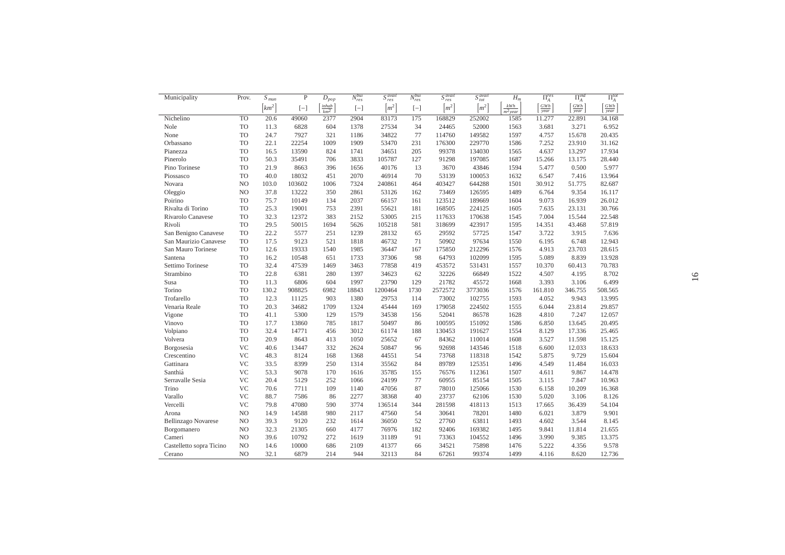| Municipality               | Prov.          | $S_{mu}$             | P      | $\overline{D}_{pop}$ | $N_{res}^{bui}$ | $S_{res}^{avail}$   | $N_{res}^{bui}$ | $S_{res}^{avail}$  | $S_{\text{tot}}^{\text{avail}}$ | $H_m$               | $\Pi_A^{res}$      | $\Pi_A^{ind}$ | $\overline{\Pi_A^{tot}}$ |
|----------------------------|----------------|----------------------|--------|----------------------|-----------------|---------------------|-----------------|--------------------|---------------------------------|---------------------|--------------------|---------------|--------------------------|
|                            |                | $\lceil km^2 \rceil$ | $[-]$  | $\frac{inhab}{km^2}$ | $[-]$           | $\lceil m^2 \rceil$ | $[-]$           | $\left[m^2\right]$ | $\lceil m^2 \rceil$             | $kWh$<br>$m^2$ year | $\frac{GWh}{year}$ | GWh<br>year   | GWh<br>year              |
| Nichelino                  | <b>TO</b>      | 20.6                 | 49060  | 2377                 | 2904            | 83173               | 175             | 168829             | 252002                          | 1585                | 11.277             | 22.891        | 34.168                   |
| Nole                       | <b>TO</b>      | 11.3                 | 6828   | 604                  | 1378            | 27534               | 34              | 24465              | 52000                           | 1563                | 3.681              | 3.271         | 6.952                    |
| None                       | <b>TO</b>      | 24.7                 | 7927   | 321                  | 1186            | 34822               | 77              | 114760             | 149582                          | 1597                | 4.757              | 15.678        | 20.435                   |
| Orbassano                  | <b>TO</b>      | 22.1                 | 22254  | 1009                 | 1909            | 53470               | 231             | 176300             | 229770                          | 1586                | 7.252              | 23.910        | 31.162                   |
| Pianezza                   | <b>TO</b>      | 16.5                 | 13590  | 824                  | 1741            | 34651               | 205             | 99378              | 134030                          | 1565                | 4.637              | 13.297        | 17.934                   |
| Pinerolo                   | <b>TO</b>      | 50.3                 | 35491  | 706                  | 3833            | 105787              | 127             | 91298              | 197085                          | 1687                | 15.266             | 13.175        | 28.440                   |
| Pino Torinese              | <b>TO</b>      | 21.9                 | 8663   | 396                  | 1656            | 40176               | 13              | 3670               | 43846                           | 1594                | 5.477              | 0.500         | 5.977                    |
| Piossasco                  | <b>TO</b>      | 40.0                 | 18032  | 451                  | 2070            | 46914               | 70              | 53139              | 100053                          | 1632                | 6.547              | 7.416         | 13.964                   |
| Novara                     | N <sub>O</sub> | 103.0                | 103602 | 1006                 | 7324            | 240861              | 464             | 403427             | 644288                          | 1501                | 30.912             | 51.775        | 82.687                   |
| Oleggio                    | N <sub>O</sub> | 37.8                 | 13222  | 350                  | 2861            | 53126               | 162             | 73469              | 126595                          | 1489                | 6.764              | 9.354         | 16.117                   |
| Poirino                    | <b>TO</b>      | 75.7                 | 10149  | 134                  | 2037            | 66157               | 161             | 123512             | 189669                          | 1604                | 9.073              | 16.939        | 26.012                   |
| Rivalta di Torino          | <b>TO</b>      | 25.3                 | 19001  | 753                  | 2391            | 55621               | 181             | 168505             | 224125                          | 1605                | 7.635              | 23.131        | 30.766                   |
| Rivarolo Canavese          | <b>TO</b>      | 32.3                 | 12372  | 383                  | 2152            | 53005               | 215             | 117633             | 170638                          | 1545                | 7.004              | 15.544        | 22.548                   |
| Rivoli                     | <b>TO</b>      | 29.5                 | 50015  | 1694                 | 5626            | 105218              | 581             | 318699             | 423917                          | 1595                | 14.351             | 43.468        | 57.819                   |
| San Benigno Canavese       | <b>TO</b>      | 22.2                 | 5577   | 251                  | 1239            | 28132               | 65              | 29592              | 57725                           | 1547                | 3.722              | 3.915         | 7.636                    |
| San Maurizio Canavese      | <b>TO</b>      | 17.5                 | 9123   | 521                  | 1818            | 46732               | 71              | 50902              | 97634                           | 1550                | 6.195              | 6.748         | 12.943                   |
| San Mauro Torinese         | <b>TO</b>      | 12.6                 | 19333  | 1540                 | 1985            | 36447               | 167             | 175850             | 212296                          | 1576                | 4.913              | 23.703        | 28.615                   |
| Santena                    | <b>TO</b>      | 16.2                 | 10548  | 651                  | 1733            | 37306               | 98              | 64793              | 102099                          | 1595                | 5.089              | 8.839         | 13.928                   |
| Settimo Torinese           | <b>TO</b>      | 32.4                 | 47539  | 1469                 | 3463            | 77858               | 419             | 453572             | 531431                          | 1557                | 10.370             | 60.413        | 70.783                   |
| Strambino                  | <b>TO</b>      | 22.8                 | 6381   | 280                  | 1397            | 34623               | 62              | 32226              | 66849                           | 1522                | 4.507              | 4.195         | 8.702                    |
| Susa                       | <b>TO</b>      | 11.3                 | 6806   | 604                  | 1997            | 23790               | 129             | 21782              | 45572                           | 1668                | 3.393              | 3.106         | 6.499                    |
| Torino                     | <b>TO</b>      | 130.2                | 908825 | 6982                 | 18843           | 1200464             | 1730            | 2572572            | 3773036                         | 1576                | 161.810            | 346.755       | 508.565                  |
| Trofarello                 | <b>TO</b>      | 12.3                 | 11125  | 903                  | 1380            | 29753               | 114             | 73002              | 102755                          | 1593                | 4.052              | 9.943         | 13.995                   |
| Venaria Reale              | <b>TO</b>      | 20.3                 | 34682  | 1709                 | 1324            | 45444               | 169             | 179058             | 224502                          | 1555                | 6.044              | 23.814        | 29.857                   |
| Vigone                     | <b>TO</b>      | 41.1                 | 5300   | 129                  | 1579            | 34538               | 156             | 52041              | 86578                           | 1628                | 4.810              | 7.247         | 12.057                   |
| Vinovo                     | <b>TO</b>      | 17.7                 | 13860  | 785                  | 1817            | 50497               | 86              | 100595             | 151092                          | 1586                | 6.850              | 13.645        | 20.495                   |
| Volpiano                   | <b>TO</b>      | 32.4                 | 14771  | 456                  | 3012            | 61174               | 188             | 130453             | 191627                          | 1554                | 8.129              | 17.336        | 25.465                   |
| Volvera                    | <b>TO</b>      | 20.9                 | 8643   | 413                  | 1050            | 25652               | 67              | 84362              | 110014                          | 1608                | 3.527              | 11.598        | 15.125                   |
| Borgosesia                 | <b>VC</b>      | 40.6                 | 13447  | 332                  | 2624            | 50847               | 96              | 92698              | 143546                          | 1518                | 6.600              | 12.033        | 18.633                   |
| Crescentino                | <b>VC</b>      | 48.3                 | 8124   | 168                  | 1368            | 44551               | 54              | 73768              | 118318                          | 1542                | 5.875              | 9.729         | 15.604                   |
| Gattinara                  | <b>VC</b>      | 33.5                 | 8399   | 250                  | 1314            | 35562               | 84              | 89789              | 125351                          | 1496                | 4.549              | 11.484        | 16.033                   |
| Santhiá                    | <b>VC</b>      | 53.3                 | 9078   | 170                  | 1616            | 35785               | 155             | 76576              | 112361                          | 1507                | 4.611              | 9.867         | 14.478                   |
| Serravalle Sesia           | <b>VC</b>      | 20.4                 | 5129   | 252                  | 1066            | 24199               | 77              | 60955              | 85154                           | 1505                | 3.115              | 7.847         | 10.963                   |
| Trino                      | <b>VC</b>      | 70.6                 | 7711   | 109                  | 1140            | 47056               | 87              | 78010              | 125066                          | 1530                | 6.158              | 10.209        | 16.368                   |
| Varallo                    | <b>VC</b>      | 88.7                 | 7586   | 86                   | 2277            | 38368               | 40              | 23737              | 62106                           | 1530                | 5.020              | 3.106         | 8.126                    |
| Vercelli                   | <b>VC</b>      | 79.8                 | 47080  | 590                  | 3774            | 136514              | 344             | 281598             | 418113                          | 1513                | 17.665             | 36.439        | 54.104                   |
| Arona                      | N <sub>O</sub> | 14.9                 | 14588  | 980                  | 2117            | 47560               | 54              | 30641              | 78201                           | 1480                | 6.021              | 3.879         | 9.901                    |
| <b>Bellinzago Novarese</b> | N <sub>O</sub> | 39.3                 | 9120   | 232                  | 1614            | 36050               | 52              | 27760              | 63811                           | 1493                | 4.602              | 3.544         | 8.145                    |
| Borgomanero                | N <sub>O</sub> | 32.3                 | 21305  | 660                  | 4177            | 76976               | 182             | 92406              | 169382                          | 1495                | 9.841              | 11.814        | 21.655                   |
| Cameri                     | N <sub>O</sub> | 39.6                 | 10792  | 272                  | 1619            | 31189               | 91              | 73363              | 104552                          | 1496                | 3.990              | 9.385         | 13.375                   |
| Castelletto sopra Ticino   | N <sub>O</sub> | 14.6                 | 10000  | 686                  | 2109            | 41377               | 66              | 34521              | 75898                           | 1476                | 5.222              | 4.356         | 9.578                    |
| Cerano                     | NO             | 32.1                 | 6879   | 214                  | 944             | 32113               | 84              | 67261              | 99374                           | 1499                | 4.116              | 8.620         | 12.736                   |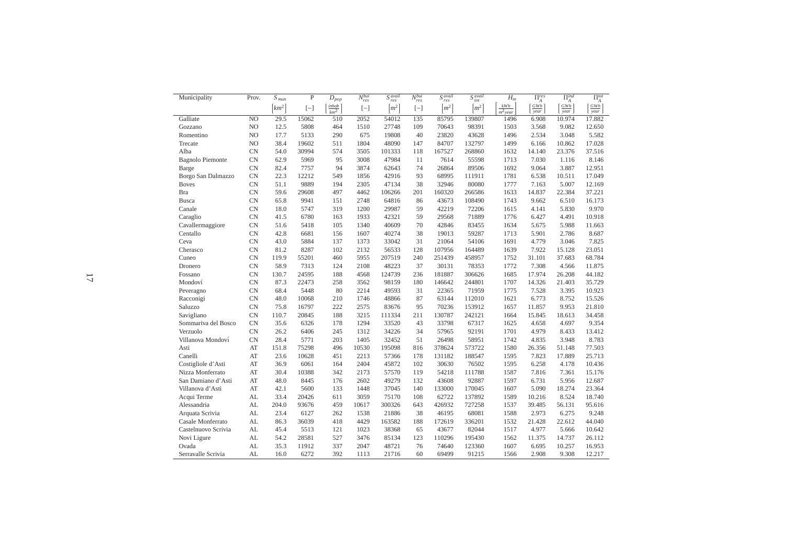| Municipality            | Prov.          | $\overline{S}_{\it{mun}}$ | $\mathbf{P}$ | $D_{pop}$            | $N_{res}^{bui}$ | $S_{res}^{avail}$  | $\overline{N_{res}^{bui}}$ | $S_{res}^{avail}$  | $S_{tot}^{avail}$              | $H_m$               | $\Pi_A^{res}$   | $\Pi_A^{ind}$                | $\Pi_A^{tot}$ |
|-------------------------|----------------|---------------------------|--------------|----------------------|-----------------|--------------------|----------------------------|--------------------|--------------------------------|---------------------|-----------------|------------------------------|---------------|
|                         |                | $\lceil km^2 \rceil$      | $[-]$        | $\frac{inhab}{km^2}$ | $[-]$           | $\left[m^2\right]$ | $[-]$                      | $\left[m^2\right]$ | $\left\lceil m^2 \right\rceil$ | $kWh$<br>$m^2$ year | $GWh$ ]<br>year | $GWh$ ]<br>$\overline{year}$ | GWh<br>year   |
| Galliate                | N <sub>O</sub> | 29.5                      | 15062        | 510                  | 2052            | 54012              | 135                        | 85795              | 139807                         | 1496                | 6.908           | 10.974                       | 17.882        |
| Gozzano                 | NO             | 12.5                      | 5808         | 464                  | 1510            | 27748              | 109                        | 70643              | 98391                          | 1503                | 3.568           | 9.082                        | 12.650        |
| Romentino               | NO             | 17.7                      | 5133         | 290                  | 675             | 19808              | 40                         | 23820              | 43628                          | 1496                | 2.534           | 3.048                        | 5.582         |
| Trecate                 | NO             | 38.4                      | 19602        | 511                  | 1804            | 48090              | 147                        | 84707              | 132797                         | 1499                | 6.166           | 10.862                       | 17.028        |
| Alba                    | <b>CN</b>      | 54.0                      | 30994        | 574                  | 3505            | 101333             | 118                        | 167527             | 268860                         | 1632                | 14.140          | 23.376                       | 37.516        |
| <b>Bagnolo Piemonte</b> | <b>CN</b>      | 62.9                      | 5969         | 95                   | 3008            | 47984              | 11                         | 7614               | 55598                          | 1713                | 7.030           | 1.116                        | 8.146         |
| Barge                   | <b>CN</b>      | 82.4                      | 7757         | 94                   | 3874            | 62643              | 74                         | 26864              | 89506                          | 1692                | 9.064           | 3.887                        | 12.951        |
| Borgo San Dalmazzo      | <b>CN</b>      | 22.3                      | 12212        | 549                  | 1856            | 42916              | 93                         | 68995              | 111911                         | 1781                | 6.538           | 10.511                       | 17.049        |
| <b>Boves</b>            | <b>CN</b>      | 51.1                      | 9889         | 194                  | 2305            | 47134              | 38                         | 32946              | 80080                          | 1777                | 7.163           | 5.007                        | 12.169        |
| Bra                     | <b>CN</b>      | 59.6                      | 29608        | 497                  | 4462            | 106266             | 201                        | 160320             | 266586                         | 1633                | 14.837          | 22.384                       | 37.221        |
| <b>Busca</b>            | <b>CN</b>      | 65.8                      | 9941         | 151                  | 2748            | 64816              | 86                         | 43673              | 108490                         | 1743                | 9.662           | 6.510                        | 16.173        |
| Canale                  | <b>CN</b>      | 18.0                      | 5747         | 319                  | 1200            | 29987              | 59                         | 42219              | 72206                          | 1615                | 4.141           | 5.830                        | 9.970         |
| Caraglio                | <b>CN</b>      | 41.5                      | 6780         | 163                  | 1933            | 42321              | 59                         | 29568              | 71889                          | 1776                | 6.427           | 4.491                        | 10.918        |
| Cavallermaggiore        | <b>CN</b>      | 51.6                      | 5418         | 105                  | 1340            | 40609              | 70                         | 42846              | 83455                          | 1634                | 5.675           | 5.988                        | 11.663        |
| Centallo                | <b>CN</b>      | 42.8                      | 6681         | 156                  | 1607            | 40274              | 38                         | 19013              | 59287                          | 1713                | 5.901           | 2.786                        | 8.687         |
| Ceva                    | <b>CN</b>      | 43.0                      | 5884         | 137                  | 1373            | 33042              | 31                         | 21064              | 54106                          | 1691                | 4.779           | 3.046                        | 7.825         |
| Cherasco                | <b>CN</b>      | 81.2                      | 8287         | 102                  | 2132            | 56533              | 128                        | 107956             | 164489                         | 1639                | 7.922           | 15.128                       | 23.051        |
| Cuneo                   | <b>CN</b>      | 119.9                     | 55201        | 460                  | 5955            | 207519             | 240                        | 251439             | 458957                         | 1752                | 31.101          | 37.683                       | 68.784        |
| Dronero                 | <b>CN</b>      | 58.9                      | 7313         | 124                  | 2108            | 48223              | 37                         | 30131              | 78353                          | 1772                | 7.308           | 4.566                        | 11.875        |
| Fossano                 | <b>CN</b>      | 130.7                     | 24595        | 188                  | 4568            | 124739             | 236                        | 181887             | 306626                         | 1685                | 17.974          | 26.208                       | 44.182        |
| Mondoví                 | <b>CN</b>      | 87.3                      | 22473        | 258                  | 3562            | 98159              | 180                        | 146642             | 244801                         | 1707                | 14.326          | 21.403                       | 35.729        |
| Peveragno               | <b>CN</b>      | 68.4                      | 5448         | 80                   | 2214            | 49593              | 31                         | 22365              | 71959                          | 1775                | 7.528           | 3.395                        | 10.923        |
| Racconigi               | <b>CN</b>      | 48.0                      | 10068        | 210                  | 1746            | 48866              | 87                         | 63144              | 112010                         | 1621                | 6.773           | 8.752                        | 15.526        |
| Saluzzo                 | <b>CN</b>      | 75.8                      | 16797        | 222                  | 2575            | 83676              | 95                         | 70236              | 153912                         | 1657                | 11.857          | 9.953                        | 21.810        |
| Savigliano              | <b>CN</b>      | 110.7                     | 20845        | 188                  | 3215            | 111334             | 211                        | 130787             | 242121                         | 1664                | 15.845          | 18.613                       | 34.458        |
| Sommariva del Bosco     | <b>CN</b>      | 35.6                      | 6326         | 178                  | 1294            | 33520              | 43                         | 33798              | 67317                          | 1625                | 4.658           | 4.697                        | 9.354         |
| Verzuolo                | <b>CN</b>      | 26.2                      | 6406         | 245                  | 1312            | 34226              | 34                         | 57965              | 92191                          | 1701                | 4.979           | 8.433                        | 13.412        |
| Villanova Mondoví       | <b>CN</b>      | 28.4                      | 5771         | 203                  | 1405            | 32452              | 51                         | 26498              | 58951                          | 1742                | 4.835           | 3.948                        | 8.783         |
| Asti                    | AT             | 151.8                     | 75298        | 496                  | 10530           | 195098             | 816                        | 378624             | 573722                         | 1580                | 26.356          | 51.148                       | 77.503        |
| Canelli                 | AT             | 23.6                      | 10628        | 451                  | 2213            | 57366              | 178                        | 131182             | 188547                         | 1595                | 7.823           | 17.889                       | 25.713        |
| Costigliole d'Asti      | AT             | 36.9                      | 6061         | 164                  | 2404            | 45872              | 102                        | 30630              | 76502                          | 1595                | 6.258           | 4.178                        | 10.436        |
| Nizza Monferrato        | AT             | 30.4                      | 10388        | 342                  | 2173            | 57570              | 119                        | 54218              | 111788                         | 1587                | 7.816           | 7.361                        | 15.176        |
| San Damiano d'Asti      | AT             | 48.0                      | 8445         | 176                  | 2602            | 49279              | 132                        | 43608              | 92887                          | 1597                | 6.731           | 5.956                        | 12.687        |
| Villanova d'Asti        | AT             | 42.1                      | 5600         | 133                  | 1448            | 37045              | 140                        | 133000             | 170045                         | 1607                | 5.090           | 18.274                       | 23.364        |
| Acqui Terme             | AL             | 33.4                      | 20426        | 611                  | 3059            | 75170              | 108                        | 62722              | 137892                         | 1589                | 10.216          | 8.524                        | 18.740        |
| Alessandria             | AL             | 204.0                     | 93676        | 459                  | 10617           | 300326             | 643                        | 426932             | 727258                         | 1537                | 39.485          | 56.131                       | 95.616        |
| Arquata Scrivia         | AL             | 23.4                      | 6127         | 262                  | 1538            | 21886              | 38                         | 46195              | 68081                          | 1588                | 2.973           | 6.275                        | 9.248         |
| Casale Monferrato       | AL             | 86.3                      | 36039        | 418                  | 4429            | 163582             | 188                        | 172619             | 336201                         | 1532                | 21.428          | 22.612                       | 44.040        |
| Castelnuovo Scrivia     | AL             | 45.4                      | 5513         | 121                  | 1023            | 38368              | 65                         | 43677              | 82044                          | 1517                | 4.977           | 5.666                        | 10.642        |
| Novi Ligure             | AL             | 54.2                      | 28581        | 527                  | 3476            | 85134              | 123                        | 110296             | 195430                         | 1562                | 11.375          | 14.737                       | 26.112        |
| Ovada                   | AL             | 35.3                      | 11912        | 337                  | 2047            | 48721              | 76                         | 74640              | 123360                         | 1607                | 6.695           | 10.257                       | 16.953        |
| Serravalle Scrivia      | AL             | 16.0                      | 6272         | 392                  | 1113            | 21716              | 60                         | 69499              | 91215                          | 1566                | 2.908           | 9.308                        | 12.217        |